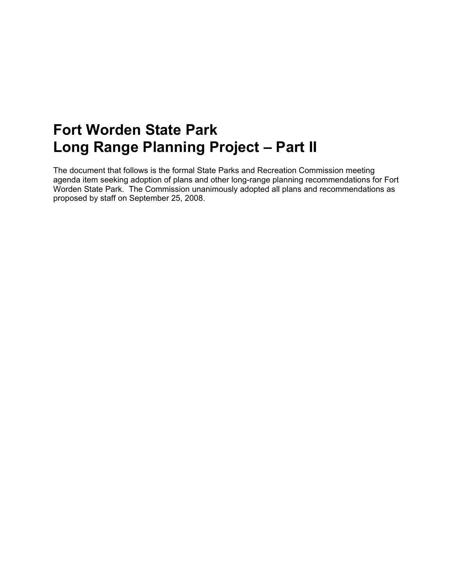# **Fort Worden State Park Long Range Planning Project – Part II**

The document that follows is the formal State Parks and Recreation Commission meeting agenda item seeking adoption of plans and other long-range planning recommendations for Fort Worden State Park. The Commission unanimously adopted all plans and recommendations as proposed by staff on September 25, 2008.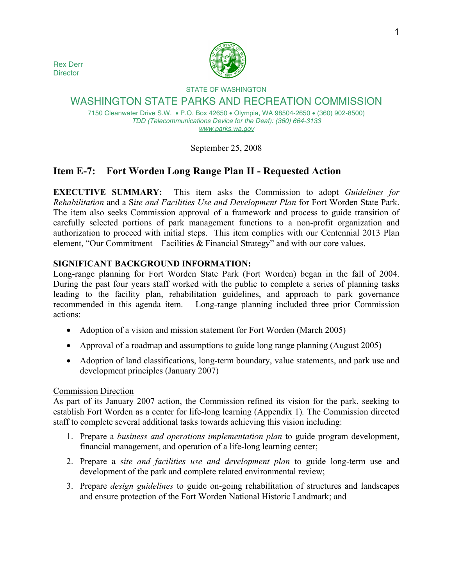Rex Derr **Director** 



# STATE OF WASHINGTON WASHINGTON STATE PARKS AND RECREATION COMMISSION

7150 Cleanwater Drive S.W. • P.O. Box 42650 • Olympia, WA 98504-2650 • (360) 902-8500) *TDD (Telecommunications Device for the Deaf): (360) 664-3133 www.parks.wa.gov*

September 25, 2008

# **Item E-7: Fort Worden Long Range Plan II - Requested Action**

**EXECUTIVE SUMMARY:** This item asks the Commission to adopt *Guidelines for Rehabilitation* and a S*ite and Facilities Use and Development Plan* for Fort Worden State Park. The item also seeks Commission approval of a framework and process to guide transition of carefully selected portions of park management functions to a non-profit organization and authorization to proceed with initial steps. This item complies with our Centennial 2013 Plan element, "Our Commitment – Facilities & Financial Strategy" and with our core values.

# **SIGNIFICANT BACKGROUND INFORMATION:**

Long-range planning for Fort Worden State Park (Fort Worden) began in the fall of 2004. During the past four years staff worked with the public to complete a series of planning tasks leading to the facility plan, rehabilitation guidelines, and approach to park governance recommended in this agenda item. Long-range planning included three prior Commission actions:

- Adoption of a vision and mission statement for Fort Worden (March 2005)
- Approval of a roadmap and assumptions to guide long range planning (August 2005)
- Adoption of land classifications, long-term boundary, value statements, and park use and development principles (January 2007)

# Commission Direction

As part of its January 2007 action, the Commission refined its vision for the park, seeking to establish Fort Worden as a center for life-long learning (Appendix 1)*.* The Commission directed staff to complete several additional tasks towards achieving this vision including:

- 1. Prepare a *business and operations implementation plan* to guide program development, financial management, and operation of a life-long learning center;
- 2. Prepare a s*ite and facilities use and development plan* to guide long-term use and development of the park and complete related environmental review;
- 3. Prepare *design guidelines* to guide on-going rehabilitation of structures and landscapes and ensure protection of the Fort Worden National Historic Landmark; and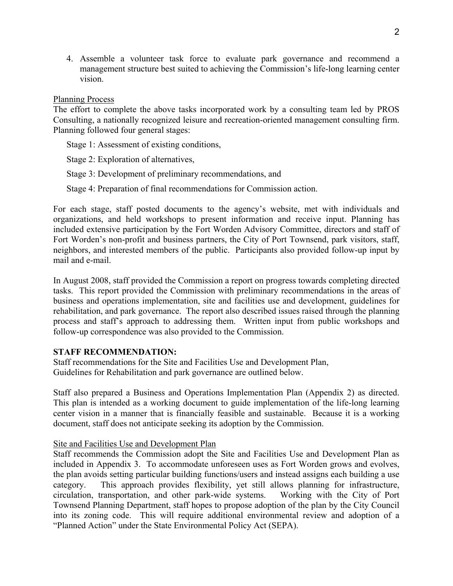4. Assemble a volunteer task force to evaluate park governance and recommend a management structure best suited to achieving the Commission's life-long learning center vision.

#### Planning Process

The effort to complete the above tasks incorporated work by a consulting team led by PROS Consulting, a nationally recognized leisure and recreation-oriented management consulting firm. Planning followed four general stages:

Stage 1: Assessment of existing conditions,

Stage 2: Exploration of alternatives,

Stage 3: Development of preliminary recommendations, and

Stage 4: Preparation of final recommendations for Commission action.

For each stage, staff posted documents to the agency's website, met with individuals and organizations, and held workshops to present information and receive input. Planning has included extensive participation by the Fort Worden Advisory Committee, directors and staff of Fort Worden's non-profit and business partners, the City of Port Townsend, park visitors, staff, neighbors, and interested members of the public. Participants also provided follow-up input by mail and e-mail.

In August 2008, staff provided the Commission a report on progress towards completing directed tasks. This report provided the Commission with preliminary recommendations in the areas of business and operations implementation, site and facilities use and development, guidelines for rehabilitation, and park governance. The report also described issues raised through the planning process and staff's approach to addressing them. Written input from public workshops and follow-up correspondence was also provided to the Commission.

#### **STAFF RECOMMENDATION:**

Staff recommendations for the Site and Facilities Use and Development Plan, Guidelines for Rehabilitation and park governance are outlined below.

Staff also prepared a Business and Operations Implementation Plan (Appendix 2) as directed. This plan is intended as a working document to guide implementation of the life-long learning center vision in a manner that is financially feasible and sustainable. Because it is a working document, staff does not anticipate seeking its adoption by the Commission.

#### Site and Facilities Use and Development Plan

Staff recommends the Commission adopt the Site and Facilities Use and Development Plan as included in Appendix 3. To accommodate unforeseen uses as Fort Worden grows and evolves, the plan avoids setting particular building functions/users and instead assigns each building a use category. This approach provides flexibility, yet still allows planning for infrastructure, circulation, transportation, and other park-wide systems. Working with the City of Port Townsend Planning Department, staff hopes to propose adoption of the plan by the City Council into its zoning code. This will require additional environmental review and adoption of a "Planned Action" under the State Environmental Policy Act (SEPA).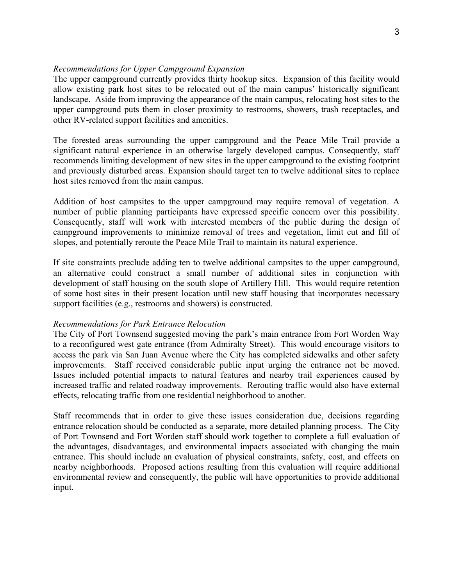#### *Recommendations for Upper Campground Expansion*

The upper campground currently provides thirty hookup sites. Expansion of this facility would allow existing park host sites to be relocated out of the main campus' historically significant landscape. Aside from improving the appearance of the main campus, relocating host sites to the upper campground puts them in closer proximity to restrooms, showers, trash receptacles, and other RV-related support facilities and amenities.

The forested areas surrounding the upper campground and the Peace Mile Trail provide a significant natural experience in an otherwise largely developed campus. Consequently, staff recommends limiting development of new sites in the upper campground to the existing footprint and previously disturbed areas. Expansion should target ten to twelve additional sites to replace host sites removed from the main campus.

Addition of host campsites to the upper campground may require removal of vegetation. A number of public planning participants have expressed specific concern over this possibility. Consequently, staff will work with interested members of the public during the design of campground improvements to minimize removal of trees and vegetation, limit cut and fill of slopes, and potentially reroute the Peace Mile Trail to maintain its natural experience.

If site constraints preclude adding ten to twelve additional campsites to the upper campground, an alternative could construct a small number of additional sites in conjunction with development of staff housing on the south slope of Artillery Hill. This would require retention of some host sites in their present location until new staff housing that incorporates necessary support facilities (e.g., restrooms and showers) is constructed.

#### *Recommendations for Park Entrance Relocation*

The City of Port Townsend suggested moving the park's main entrance from Fort Worden Way to a reconfigured west gate entrance (from Admiralty Street). This would encourage visitors to access the park via San Juan Avenue where the City has completed sidewalks and other safety improvements. Staff received considerable public input urging the entrance not be moved. Issues included potential impacts to natural features and nearby trail experiences caused by increased traffic and related roadway improvements. Rerouting traffic would also have external effects, relocating traffic from one residential neighborhood to another.

Staff recommends that in order to give these issues consideration due, decisions regarding entrance relocation should be conducted as a separate, more detailed planning process. The City of Port Townsend and Fort Worden staff should work together to complete a full evaluation of the advantages, disadvantages, and environmental impacts associated with changing the main entrance. This should include an evaluation of physical constraints, safety, cost, and effects on nearby neighborhoods. Proposed actions resulting from this evaluation will require additional environmental review and consequently, the public will have opportunities to provide additional input.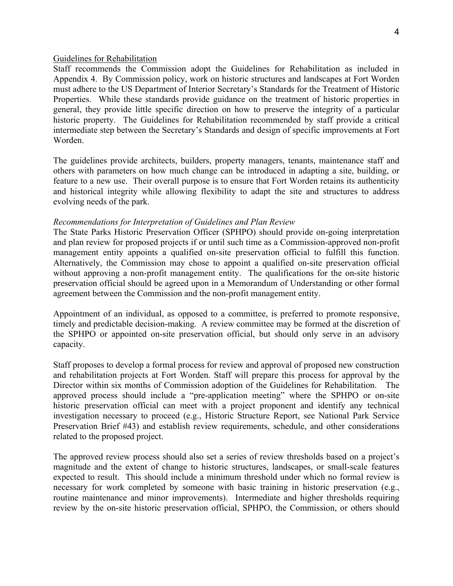#### Guidelines for Rehabilitation

Staff recommends the Commission adopt the Guidelines for Rehabilitation as included in Appendix 4. By Commission policy, work on historic structures and landscapes at Fort Worden must adhere to the US Department of Interior Secretary's Standards for the Treatment of Historic Properties. While these standards provide guidance on the treatment of historic properties in general, they provide little specific direction on how to preserve the integrity of a particular historic property. The Guidelines for Rehabilitation recommended by staff provide a critical intermediate step between the Secretary's Standards and design of specific improvements at Fort Worden.

The guidelines provide architects, builders, property managers, tenants, maintenance staff and others with parameters on how much change can be introduced in adapting a site, building, or feature to a new use. Their overall purpose is to ensure that Fort Worden retains its authenticity and historical integrity while allowing flexibility to adapt the site and structures to address evolving needs of the park.

#### *Recommendations for Interpretation of Guidelines and Plan Review*

The State Parks Historic Preservation Officer (SPHPO) should provide on-going interpretation and plan review for proposed projects if or until such time as a Commission-approved non-profit management entity appoints a qualified on-site preservation official to fulfill this function. Alternatively, the Commission may chose to appoint a qualified on-site preservation official without approving a non-profit management entity. The qualifications for the on-site historic preservation official should be agreed upon in a Memorandum of Understanding or other formal agreement between the Commission and the non-profit management entity.

Appointment of an individual, as opposed to a committee, is preferred to promote responsive, timely and predictable decision-making. A review committee may be formed at the discretion of the SPHPO or appointed on-site preservation official, but should only serve in an advisory capacity.

Staff proposes to develop a formal process for review and approval of proposed new construction and rehabilitation projects at Fort Worden. Staff will prepare this process for approval by the Director within six months of Commission adoption of the Guidelines for Rehabilitation. The approved process should include a "pre-application meeting" where the SPHPO or on-site historic preservation official can meet with a project proponent and identify any technical investigation necessary to proceed (e.g., Historic Structure Report, see National Park Service Preservation Brief #43) and establish review requirements, schedule, and other considerations related to the proposed project.

The approved review process should also set a series of review thresholds based on a project's magnitude and the extent of change to historic structures, landscapes, or small-scale features expected to result. This should include a minimum threshold under which no formal review is necessary for work completed by someone with basic training in historic preservation (e.g., routine maintenance and minor improvements). Intermediate and higher thresholds requiring review by the on-site historic preservation official, SPHPO, the Commission, or others should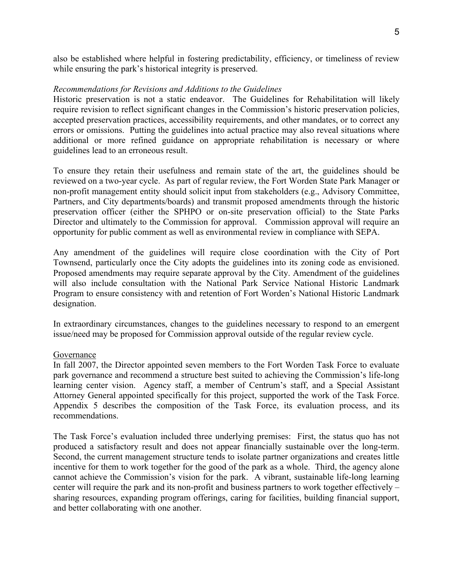also be established where helpful in fostering predictability, efficiency, or timeliness of review while ensuring the park's historical integrity is preserved.

#### *Recommendations for Revisions and Additions to the Guidelines*

Historic preservation is not a static endeavor. The Guidelines for Rehabilitation will likely require revision to reflect significant changes in the Commission's historic preservation policies, accepted preservation practices, accessibility requirements, and other mandates, or to correct any errors or omissions. Putting the guidelines into actual practice may also reveal situations where additional or more refined guidance on appropriate rehabilitation is necessary or where guidelines lead to an erroneous result.

To ensure they retain their usefulness and remain state of the art, the guidelines should be reviewed on a two-year cycle. As part of regular review, the Fort Worden State Park Manager or non-profit management entity should solicit input from stakeholders (e.g., Advisory Committee, Partners, and City departments/boards) and transmit proposed amendments through the historic preservation officer (either the SPHPO or on-site preservation official) to the State Parks Director and ultimately to the Commission for approval. Commission approval will require an opportunity for public comment as well as environmental review in compliance with SEPA.

Any amendment of the guidelines will require close coordination with the City of Port Townsend, particularly once the City adopts the guidelines into its zoning code as envisioned. Proposed amendments may require separate approval by the City. Amendment of the guidelines will also include consultation with the National Park Service National Historic Landmark Program to ensure consistency with and retention of Fort Worden's National Historic Landmark designation.

In extraordinary circumstances, changes to the guidelines necessary to respond to an emergent issue/need may be proposed for Commission approval outside of the regular review cycle.

#### Governance

In fall 2007, the Director appointed seven members to the Fort Worden Task Force to evaluate park governance and recommend a structure best suited to achieving the Commission's life-long learning center vision. Agency staff, a member of Centrum's staff, and a Special Assistant Attorney General appointed specifically for this project, supported the work of the Task Force. Appendix 5 describes the composition of the Task Force, its evaluation process, and its recommendations.

The Task Force's evaluation included three underlying premises: First, the status quo has not produced a satisfactory result and does not appear financially sustainable over the long-term. Second, the current management structure tends to isolate partner organizations and creates little incentive for them to work together for the good of the park as a whole. Third, the agency alone cannot achieve the Commission's vision for the park. A vibrant, sustainable life-long learning center will require the park and its non-profit and business partners to work together effectively – sharing resources, expanding program offerings, caring for facilities, building financial support, and better collaborating with one another.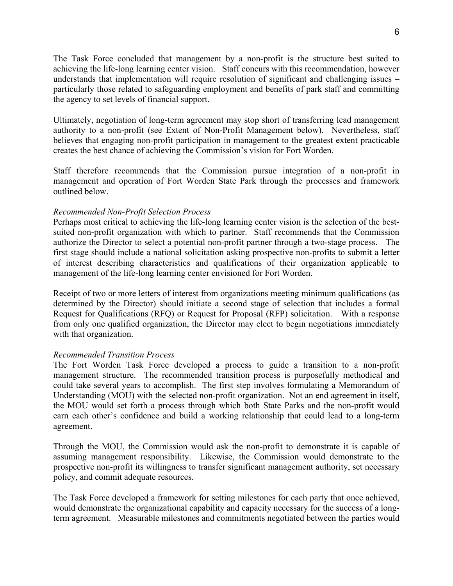The Task Force concluded that management by a non-profit is the structure best suited to achieving the life-long learning center vision. Staff concurs with this recommendation, however understands that implementation will require resolution of significant and challenging issues – particularly those related to safeguarding employment and benefits of park staff and committing the agency to set levels of financial support.

Ultimately, negotiation of long-term agreement may stop short of transferring lead management authority to a non-profit (see Extent of Non-Profit Management below). Nevertheless, staff believes that engaging non-profit participation in management to the greatest extent practicable creates the best chance of achieving the Commission's vision for Fort Worden.

Staff therefore recommends that the Commission pursue integration of a non-profit in management and operation of Fort Worden State Park through the processes and framework outlined below.

#### *Recommended Non-Profit Selection Process*

Perhaps most critical to achieving the life-long learning center vision is the selection of the bestsuited non-profit organization with which to partner. Staff recommends that the Commission authorize the Director to select a potential non-profit partner through a two-stage process. The first stage should include a national solicitation asking prospective non-profits to submit a letter of interest describing characteristics and qualifications of their organization applicable to management of the life-long learning center envisioned for Fort Worden.

Receipt of two or more letters of interest from organizations meeting minimum qualifications (as determined by the Director) should initiate a second stage of selection that includes a formal Request for Qualifications (RFQ) or Request for Proposal (RFP) solicitation. With a response from only one qualified organization, the Director may elect to begin negotiations immediately with that organization.

#### *Recommended Transition Process*

The Fort Worden Task Force developed a process to guide a transition to a non-profit management structure. The recommended transition process is purposefully methodical and could take several years to accomplish. The first step involves formulating a Memorandum of Understanding (MOU) with the selected non-profit organization. Not an end agreement in itself, the MOU would set forth a process through which both State Parks and the non-profit would earn each other's confidence and build a working relationship that could lead to a long-term agreement.

Through the MOU, the Commission would ask the non-profit to demonstrate it is capable of assuming management responsibility. Likewise, the Commission would demonstrate to the prospective non-profit its willingness to transfer significant management authority, set necessary policy, and commit adequate resources.

The Task Force developed a framework for setting milestones for each party that once achieved, would demonstrate the organizational capability and capacity necessary for the success of a longterm agreement. Measurable milestones and commitments negotiated between the parties would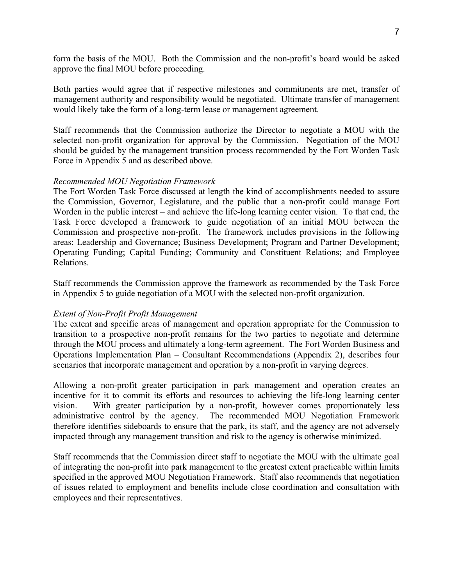form the basis of the MOU. Both the Commission and the non-profit's board would be asked approve the final MOU before proceeding.

Both parties would agree that if respective milestones and commitments are met, transfer of management authority and responsibility would be negotiated. Ultimate transfer of management would likely take the form of a long-term lease or management agreement.

Staff recommends that the Commission authorize the Director to negotiate a MOU with the selected non-profit organization for approval by the Commission. Negotiation of the MOU should be guided by the management transition process recommended by the Fort Worden Task Force in Appendix 5 and as described above.

#### *Recommended MOU Negotiation Framework*

The Fort Worden Task Force discussed at length the kind of accomplishments needed to assure the Commission, Governor, Legislature, and the public that a non-profit could manage Fort Worden in the public interest – and achieve the life-long learning center vision. To that end, the Task Force developed a framework to guide negotiation of an initial MOU between the Commission and prospective non-profit. The framework includes provisions in the following areas: Leadership and Governance; Business Development; Program and Partner Development; Operating Funding; Capital Funding; Community and Constituent Relations; and Employee Relations.

Staff recommends the Commission approve the framework as recommended by the Task Force in Appendix 5 to guide negotiation of a MOU with the selected non-profit organization.

#### *Extent of Non-Profit Profit Management*

The extent and specific areas of management and operation appropriate for the Commission to transition to a prospective non-profit remains for the two parties to negotiate and determine through the MOU process and ultimately a long-term agreement. The Fort Worden Business and Operations Implementation Plan – Consultant Recommendations (Appendix 2), describes four scenarios that incorporate management and operation by a non-profit in varying degrees.

Allowing a non-profit greater participation in park management and operation creates an incentive for it to commit its efforts and resources to achieving the life-long learning center vision. With greater participation by a non-profit, however comes proportionately less administrative control by the agency. The recommended MOU Negotiation Framework therefore identifies sideboards to ensure that the park, its staff, and the agency are not adversely impacted through any management transition and risk to the agency is otherwise minimized.

Staff recommends that the Commission direct staff to negotiate the MOU with the ultimate goal of integrating the non-profit into park management to the greatest extent practicable within limits specified in the approved MOU Negotiation Framework. Staff also recommends that negotiation of issues related to employment and benefits include close coordination and consultation with employees and their representatives.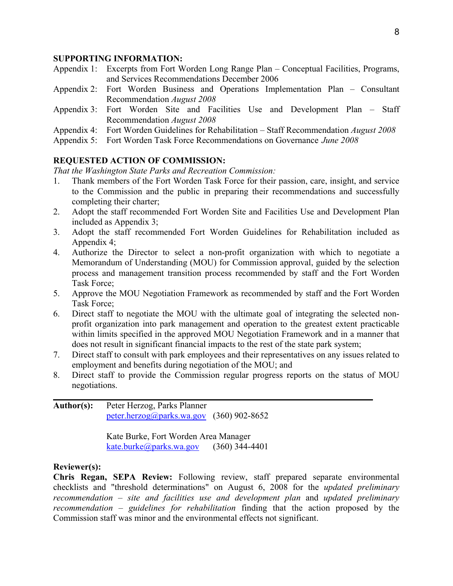#### **SUPPORTING INFORMATION:**

- Appendix 1: Excerpts from Fort Worden Long Range Plan Conceptual Facilities, Programs, and Services Recommendations December 2006
- Appendix 2: Fort Worden Business and Operations Implementation Plan Consultant Recommendation *August 2008*
- Appendix 3: Fort Worden Site and Facilities Use and Development Plan Staff Recommendation *August 2008*
- Appendix 4: Fort Worden Guidelines for Rehabilitation Staff Recommendation *August 2008*
- Appendix 5: Fort Worden Task Force Recommendations on Governance *June 2008*

#### **REQUESTED ACTION OF COMMISSION:**

*That the Washington State Parks and Recreation Commission:* 

- 1. Thank members of the Fort Worden Task Force for their passion, care, insight, and service to the Commission and the public in preparing their recommendations and successfully completing their charter;
- 2. Adopt the staff recommended Fort Worden Site and Facilities Use and Development Plan included as Appendix 3;
- 3. Adopt the staff recommended Fort Worden Guidelines for Rehabilitation included as Appendix 4;
- 4. Authorize the Director to select a non-profit organization with which to negotiate a Memorandum of Understanding (MOU) for Commission approval, guided by the selection process and management transition process recommended by staff and the Fort Worden Task Force;
- 5. Approve the MOU Negotiation Framework as recommended by staff and the Fort Worden Task Force;
- 6. Direct staff to negotiate the MOU with the ultimate goal of integrating the selected nonprofit organization into park management and operation to the greatest extent practicable within limits specified in the approved MOU Negotiation Framework and in a manner that does not result in significant financial impacts to the rest of the state park system;
- 7. Direct staff to consult with park employees and their representatives on any issues related to employment and benefits during negotiation of the MOU; and
- 8. Direct staff to provide the Commission regular progress reports on the status of MOU negotiations.

**\_\_\_\_\_\_\_\_\_\_\_\_\_\_\_\_\_\_\_\_\_\_\_\_\_\_\_\_\_\_\_\_\_\_\_\_\_\_\_\_\_\_\_\_\_\_\_\_\_\_\_\_\_\_\_\_\_\_\_\_\_\_\_\_\_\_\_\_\_\_\_\_**

**Author(s):** Peter Herzog, Parks Planner [peter.herzog@parks.wa.gov](mailto:peter.herzog@parks.wa.gov) (360) 902-8652

> Kate Burke, Fort Worden Area Manager [kate.burke@parks.wa.gov](mailto:kate.burke@parks.wa.gov)  $(360)$  344-4401

#### **Reviewer(s):**

**Chris Regan, SEPA Review:** Following review, staff prepared separate environmental checklists and "threshold determinations" on August 6, 2008 for the *updated preliminary recommendation – site and facilities use and development plan* and *updated preliminary recommendation – guidelines for rehabilitation* finding that the action proposed by the Commission staff was minor and the environmental effects not significant.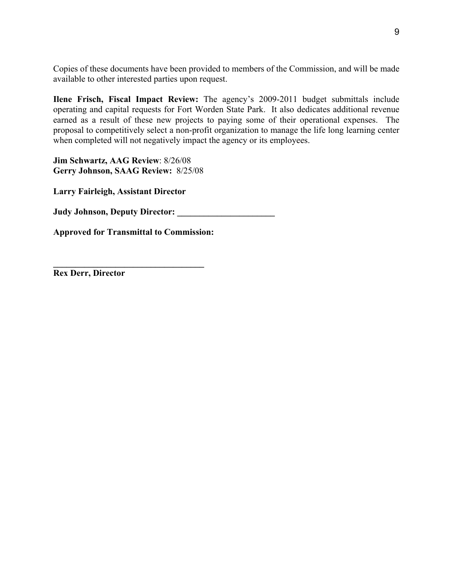Copies of these documents have been provided to members of the Commission, and will be made available to other interested parties upon request.

**Ilene Frisch, Fiscal Impact Review:** The agency's 2009-2011 budget submittals include operating and capital requests for Fort Worden State Park. It also dedicates additional revenue earned as a result of these new projects to paying some of their operational expenses. The proposal to competitively select a non-profit organization to manage the life long learning center when completed will not negatively impact the agency or its employees.

**Jim Schwartz, AAG Review**: 8/26/08 **Gerry Johnson, SAAG Review:** 8/25/08

**Larry Fairleigh, Assistant Director** 

**Judy Johnson, Deputy Director: \_\_\_\_\_\_\_\_\_\_\_\_\_\_\_\_\_\_\_\_\_\_** 

**Approved for Transmittal to Commission:** 

**\_\_\_\_\_\_\_\_\_\_\_\_\_\_\_\_\_\_\_\_\_\_\_\_\_\_\_\_\_\_\_\_\_\_** 

**Rex Derr, Director**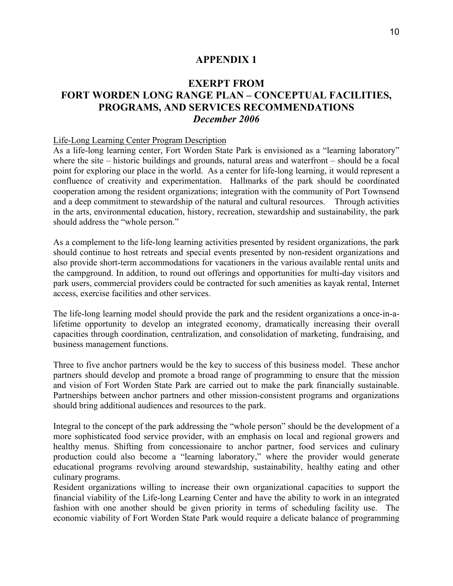# **EXERPT FROM FORT WORDEN LONG RANGE PLAN – CONCEPTUAL FACILITIES, PROGRAMS, AND SERVICES RECOMMENDATIONS**  *December 2006*

#### Life-Long Learning Center Program Description

As a life-long learning center, Fort Worden State Park is envisioned as a "learning laboratory" where the site – historic buildings and grounds, natural areas and waterfront – should be a focal point for exploring our place in the world. As a center for life-long learning, it would represent a confluence of creativity and experimentation. Hallmarks of the park should be coordinated cooperation among the resident organizations; integration with the community of Port Townsend and a deep commitment to stewardship of the natural and cultural resources. Through activities in the arts, environmental education, history, recreation, stewardship and sustainability, the park should address the "whole person."

As a complement to the life-long learning activities presented by resident organizations, the park should continue to host retreats and special events presented by non-resident organizations and also provide short-term accommodations for vacationers in the various available rental units and the campground. In addition, to round out offerings and opportunities for multi-day visitors and park users, commercial providers could be contracted for such amenities as kayak rental, Internet access, exercise facilities and other services.

The life-long learning model should provide the park and the resident organizations a once-in-alifetime opportunity to develop an integrated economy, dramatically increasing their overall capacities through coordination, centralization, and consolidation of marketing, fundraising, and business management functions.

Three to five anchor partners would be the key to success of this business model. These anchor partners should develop and promote a broad range of programming to ensure that the mission and vision of Fort Worden State Park are carried out to make the park financially sustainable. Partnerships between anchor partners and other mission-consistent programs and organizations should bring additional audiences and resources to the park.

Integral to the concept of the park addressing the "whole person" should be the development of a more sophisticated food service provider, with an emphasis on local and regional growers and healthy menus. Shifting from concessionaire to anchor partner, food services and culinary production could also become a "learning laboratory," where the provider would generate educational programs revolving around stewardship, sustainability, healthy eating and other culinary programs.

Resident organizations willing to increase their own organizational capacities to support the financial viability of the Life-long Learning Center and have the ability to work in an integrated fashion with one another should be given priority in terms of scheduling facility use. The economic viability of Fort Worden State Park would require a delicate balance of programming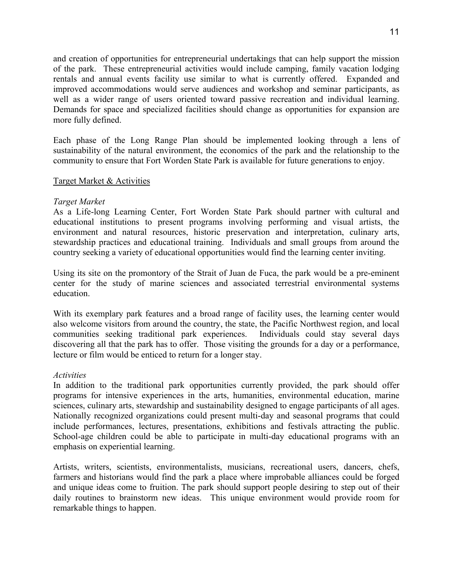and creation of opportunities for entrepreneurial undertakings that can help support the mission of the park. These entrepreneurial activities would include camping, family vacation lodging rentals and annual events facility use similar to what is currently offered. Expanded and improved accommodations would serve audiences and workshop and seminar participants, as well as a wider range of users oriented toward passive recreation and individual learning. Demands for space and specialized facilities should change as opportunities for expansion are more fully defined.

Each phase of the Long Range Plan should be implemented looking through a lens of sustainability of the natural environment, the economics of the park and the relationship to the community to ensure that Fort Worden State Park is available for future generations to enjoy.

#### Target Market & Activities

#### *Target Market*

As a Life-long Learning Center, Fort Worden State Park should partner with cultural and educational institutions to present programs involving performing and visual artists, the environment and natural resources, historic preservation and interpretation, culinary arts, stewardship practices and educational training. Individuals and small groups from around the country seeking a variety of educational opportunities would find the learning center inviting.

Using its site on the promontory of the Strait of Juan de Fuca, the park would be a pre-eminent center for the study of marine sciences and associated terrestrial environmental systems education.

With its exemplary park features and a broad range of facility uses, the learning center would also welcome visitors from around the country, the state, the Pacific Northwest region, and local communities seeking traditional park experiences. Individuals could stay several days discovering all that the park has to offer. Those visiting the grounds for a day or a performance, lecture or film would be enticed to return for a longer stay.

#### *Activities*

In addition to the traditional park opportunities currently provided, the park should offer programs for intensive experiences in the arts, humanities, environmental education, marine sciences, culinary arts, stewardship and sustainability designed to engage participants of all ages. Nationally recognized organizations could present multi-day and seasonal programs that could include performances, lectures, presentations, exhibitions and festivals attracting the public. School-age children could be able to participate in multi-day educational programs with an emphasis on experiential learning.

Artists, writers, scientists, environmentalists, musicians, recreational users, dancers, chefs, farmers and historians would find the park a place where improbable alliances could be forged and unique ideas come to fruition. The park should support people desiring to step out of their daily routines to brainstorm new ideas. This unique environment would provide room for remarkable things to happen.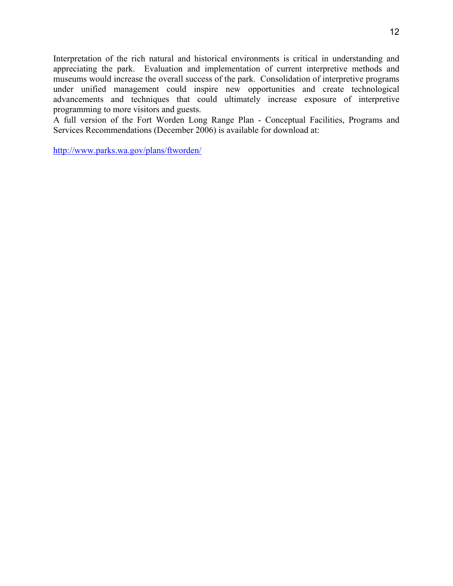Interpretation of the rich natural and historical environments is critical in understanding and appreciating the park. Evaluation and implementation of current interpretive methods and museums would increase the overall success of the park. Consolidation of interpretive programs under unified management could inspire new opportunities and create technological advancements and techniques that could ultimately increase exposure of interpretive programming to more visitors and guests.

A full version of the Fort Worden Long Range Plan - Conceptual Facilities, Programs and Services Recommendations (December 2006) is available for download at:

http://www.parks.wa.gov/plans/ftworden/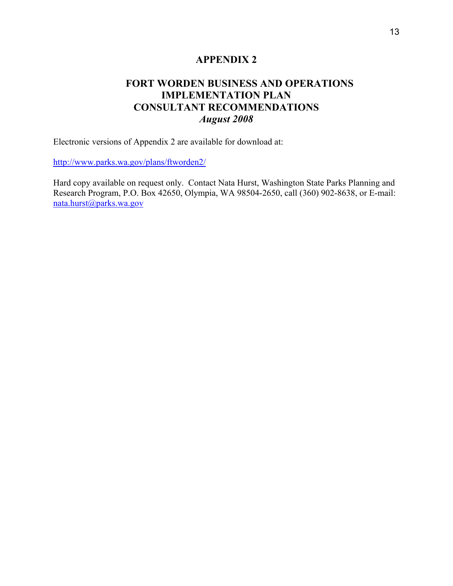# **FORT WORDEN BUSINESS AND OPERATIONS IMPLEMENTATION PLAN CONSULTANT RECOMMENDATIONS**  *August 2008*

Electronic versions of Appendix 2 are available for download at:

http://www.parks.wa.gov/plans/ftworden2/

Hard copy available on request only. Contact Nata Hurst, Washington State Parks Planning and Research Program, P.O. [B](mailto:nata.hurst@parks.wa.gov)ox 42650, Olympia, WA 98504-2650, call (360) 902-8638, or E-mail: [nata.hurst@parks.wa.gov](mailto:nata.hurst@parks.wa.gov)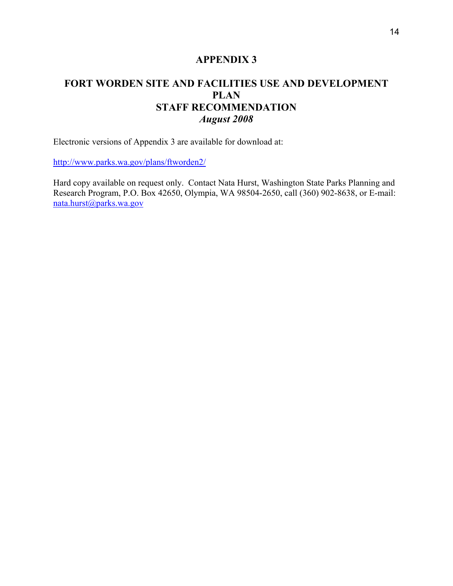# **FORT WORDEN SITE AND FACILITIES USE AND DEVELOPMENT PLAN STAFF RECOMMENDATION**  *August 2008*

Electronic versions of Appendix 3 are available for download at:

http://www.parks.wa.gov/plans/ftworden2/

Hard copy available on request only. Contact Nata Hurst, Washington State Parks Planning and Research Program, P.O. [B](mailto:nata.hurst@parks.wa.gov)ox 42650, Olympia, WA 98504-2650, call (360) 902-8638, or E-mail: [nata.hurst@parks.wa.gov](mailto:nata.hurst@parks.wa.gov)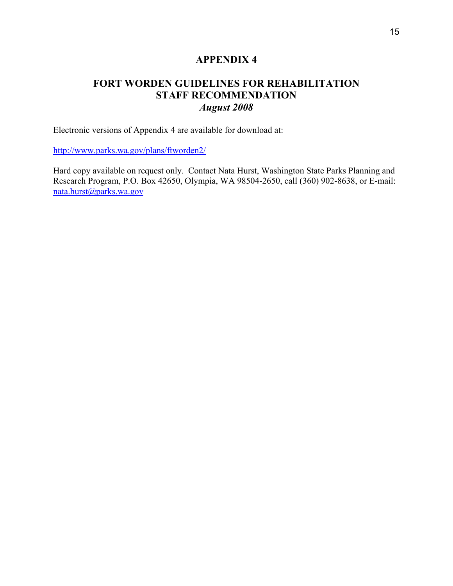# **FORT WORDEN GUIDELINES FOR REHABILITATION STAFF RECOMMENDATION**  *August 2008*

Electronic versions of Appendix 4 are available for download at:

http://www.parks.wa.gov/plans/ftworden2/

Hard copy available on request only. Contact Nata Hurst, Washington State Parks Planning and Research Program, P.O. Box 42650, Olympia, WA 98504-2650, call (360) 902-8638, or E-mail: [nata.hurst@parks.wa.gov](mailto:nata.hurst@parks.wa.gov)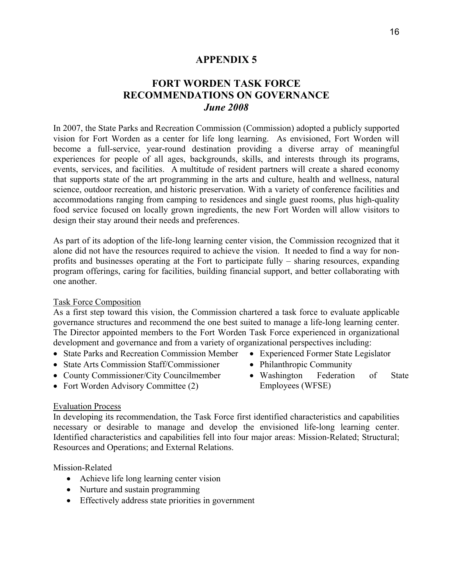# **FORT WORDEN TASK FORCE RECOMMENDATIONS ON GOVERNANCE**  *June 2008*

In 2007, the State Parks and Recreation Commission (Commission) adopted a publicly supported vision for Fort Worden as a center for life long learning. As envisioned, Fort Worden will become a full-service, year-round destination providing a diverse array of meaningful experiences for people of all ages, backgrounds, skills, and interests through its programs, events, services, and facilities. A multitude of resident partners will create a shared economy that supports state of the art programming in the arts and culture, health and wellness, natural science, outdoor recreation, and historic preservation. With a variety of conference facilities and accommodations ranging from camping to residences and single guest rooms, plus high-quality food service focused on locally grown ingredients, the new Fort Worden will allow visitors to design their stay around their needs and preferences.

As part of its adoption of the life-long learning center vision, the Commission recognized that it alone did not have the resources required to achieve the vision. It needed to find a way for nonprofits and businesses operating at the Fort to participate fully – sharing resources, expanding program offerings, caring for facilities, building financial support, and better collaborating with one another.

#### Task Force Composition

As a first step toward this vision, the Commission chartered a task force to evaluate applicable governance structures and recommend the one best suited to manage a life-long learning center. The Director appointed members to the Fort Worden Task Force experienced in organizational development and governance and from a variety of organizational perspectives including:

- State Parks and Recreation Commission Member
- State Arts Commission Staff/Commissioner
- County Commissioner/City Councilmember
- Fort Worden Advisory Committee (2)
- Experienced Former State Legislator
- Philanthropic Community
- Washington Federation of State Employees (WFSE)

#### Evaluation Process

In developing its recommendation, the Task Force first identified characteristics and capabilities necessary or desirable to manage and develop the envisioned life-long learning center. Identified characteristics and capabilities fell into four major areas: Mission-Related; Structural; Resources and Operations; and External Relations.

Mission-Related

- Achieve life long learning center vision
- Nurture and sustain programming
- Effectively address state priorities in government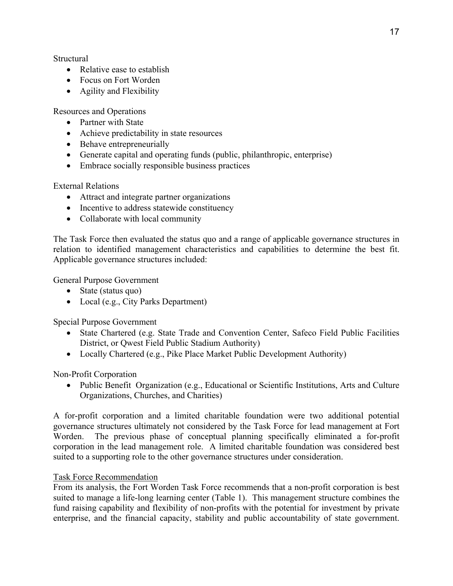**Structural** 

- Relative ease to establish
- Focus on Fort Worden
- Agility and Flexibility

Resources and Operations

- Partner with State
- Achieve predictability in state resources
- Behave entrepreneurially
- Generate capital and operating funds (public, philanthropic, enterprise)
- Embrace socially responsible business practices

External Relations

- Attract and integrate partner organizations
- Incentive to address statewide constituency
- Collaborate with local community

The Task Force then evaluated the status quo and a range of applicable governance structures in relation to identified management characteristics and capabilities to determine the best fit. Applicable governance structures included:

General Purpose Government

- State (status quo)
- Local (e.g., City Parks Department)

Special Purpose Government

- State Chartered (e.g. State Trade and Convention Center, Safeco Field Public Facilities District, or Qwest Field Public Stadium Authority)
- Locally Chartered (e.g., Pike Place Market Public Development Authority)

Non-Profit Corporation

• Public Benefit Organization (e.g., Educational or Scientific Institutions, Arts and Culture Organizations, Churches, and Charities)

A for-profit corporation and a limited charitable foundation were two additional potential governance structures ultimately not considered by the Task Force for lead management at Fort Worden. The previous phase of conceptual planning specifically eliminated a for-profit corporation in the lead management role. A limited charitable foundation was considered best suited to a supporting role to the other governance structures under consideration.

# Task Force Recommendation

From its analysis, the Fort Worden Task Force recommends that a non-profit corporation is best suited to manage a life-long learning center (Table 1). This management structure combines the fund raising capability and flexibility of non-profits with the potential for investment by private enterprise, and the financial capacity, stability and public accountability of state government.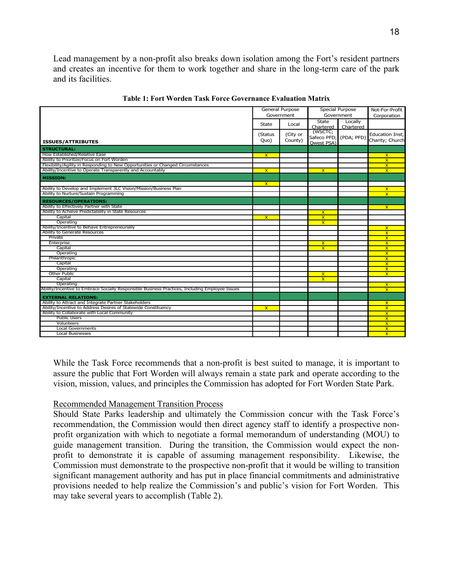Lead management by a non-profit also breaks down isolation among the Fort's resident partners and creates an incentive for them to work together and share in the long-term care of the park and its facilities.

| Government<br>Government<br>Corporation<br>State<br>Locally<br>Local<br>State<br>Chartered<br>Chartered<br>(WSCTC;<br>(Status<br>(City or<br><b>Education Inst;</b><br>Safeco PFD; (PDA; PFD)<br>Charity; Church<br>County)<br>Quo)<br><b>ISSUES/ATTRIBUTES</b><br>Owest PSA)<br><b>STRUCTURAL:</b><br>How Established/Relative Ease<br>$\mathbf{x}$<br>$\mathsf{x}$<br>Ability to Prioritize/Focus on Fort Worden<br>$\overline{\mathsf{x}}$<br>Flexibility/Agility in Responding to New Opportunities or Changed Circumstances<br>$\overline{\mathsf{x}}$<br>Ability/Incentive to Operate Transparently and Accountably<br>$\overline{\mathsf{x}}$<br>$\overline{\mathsf{x}}$<br>$\overline{\mathsf{x}}$<br><b>MISSION:</b><br>$\overline{\mathsf{x}}$<br>Ability to Develop and Implement 3LC Vision/Mission/Business Plan<br>$\mathsf{x}$<br>Ability to Nurture/Sustain Programming<br>$\overline{\mathsf{x}}$<br><b>RESOURCES/OPERATIONS:</b><br>Ability to Effectively Partner with State<br>$\mathsf{x}$<br>Ability to Achieve Predictability in State Resources<br>$\mathsf{x}$<br>Capital<br>$\overline{\mathsf{x}}$<br>$\overline{\mathsf{x}}$<br>Operating<br>$\overline{\mathsf{x}}$<br>Ability/Incentive to Behave Entrepreneurially<br>$\mathsf{x}$<br>Ability to Generate Resources<br>$\overline{\mathsf{x}}$<br>Private<br>$\overline{\mathsf{x}}$<br>Enterprise<br>$\mathbf{x}$<br>$\mathbf{x}$<br>Capital<br>$\mathsf{x}$<br>$\overline{\mathsf{x}}$<br>Operating<br>$\overline{\mathsf{x}}$<br>Philanthropic<br>$\overline{\mathsf{x}}$<br>Capital<br>$\overline{\mathsf{x}}$<br>Operating<br>$\overline{\mathsf{x}}$<br>Other Public<br>$\overline{\mathsf{x}}$<br>$\overline{\mathsf{x}}$<br>Capital<br>$\overline{\mathsf{x}}$<br>Operating<br>$\mathsf{x}$<br>$\overline{\mathsf{x}}$<br><b>EXTERNAL RELATIONS:</b><br>Ability to Attract and Integrate Partner Stakeholders<br>$\mathsf{x}$<br>Ability/Incentive to Address Desires of Statewide Constituency<br>$\overline{\mathsf{x}}$<br>$\mathsf{x}$<br>Ability to Collaborate with Local Community<br>$\overline{\mathsf{x}}$<br><b>Public Users</b><br>$\overline{\mathsf{x}}$<br>Volunteers<br>X.<br><b>Local Governments</b><br>$\overline{\mathsf{x}}$<br><b>Local Businesses</b><br>$\mathsf{x}$ |                                                                                                 | General Purpose | Special Purpose | Not-For-Profit |  |
|-------------------------------------------------------------------------------------------------------------------------------------------------------------------------------------------------------------------------------------------------------------------------------------------------------------------------------------------------------------------------------------------------------------------------------------------------------------------------------------------------------------------------------------------------------------------------------------------------------------------------------------------------------------------------------------------------------------------------------------------------------------------------------------------------------------------------------------------------------------------------------------------------------------------------------------------------------------------------------------------------------------------------------------------------------------------------------------------------------------------------------------------------------------------------------------------------------------------------------------------------------------------------------------------------------------------------------------------------------------------------------------------------------------------------------------------------------------------------------------------------------------------------------------------------------------------------------------------------------------------------------------------------------------------------------------------------------------------------------------------------------------------------------------------------------------------------------------------------------------------------------------------------------------------------------------------------------------------------------------------------------------------------------------------------------------------------------------------------------------------------------------------------------------------------------------------------------------------------------------------------------------------------------------|-------------------------------------------------------------------------------------------------|-----------------|-----------------|----------------|--|
|                                                                                                                                                                                                                                                                                                                                                                                                                                                                                                                                                                                                                                                                                                                                                                                                                                                                                                                                                                                                                                                                                                                                                                                                                                                                                                                                                                                                                                                                                                                                                                                                                                                                                                                                                                                                                                                                                                                                                                                                                                                                                                                                                                                                                                                                                     |                                                                                                 |                 |                 |                |  |
|                                                                                                                                                                                                                                                                                                                                                                                                                                                                                                                                                                                                                                                                                                                                                                                                                                                                                                                                                                                                                                                                                                                                                                                                                                                                                                                                                                                                                                                                                                                                                                                                                                                                                                                                                                                                                                                                                                                                                                                                                                                                                                                                                                                                                                                                                     |                                                                                                 |                 |                 |                |  |
|                                                                                                                                                                                                                                                                                                                                                                                                                                                                                                                                                                                                                                                                                                                                                                                                                                                                                                                                                                                                                                                                                                                                                                                                                                                                                                                                                                                                                                                                                                                                                                                                                                                                                                                                                                                                                                                                                                                                                                                                                                                                                                                                                                                                                                                                                     |                                                                                                 |                 |                 |                |  |
|                                                                                                                                                                                                                                                                                                                                                                                                                                                                                                                                                                                                                                                                                                                                                                                                                                                                                                                                                                                                                                                                                                                                                                                                                                                                                                                                                                                                                                                                                                                                                                                                                                                                                                                                                                                                                                                                                                                                                                                                                                                                                                                                                                                                                                                                                     |                                                                                                 |                 |                 |                |  |
|                                                                                                                                                                                                                                                                                                                                                                                                                                                                                                                                                                                                                                                                                                                                                                                                                                                                                                                                                                                                                                                                                                                                                                                                                                                                                                                                                                                                                                                                                                                                                                                                                                                                                                                                                                                                                                                                                                                                                                                                                                                                                                                                                                                                                                                                                     |                                                                                                 |                 |                 |                |  |
|                                                                                                                                                                                                                                                                                                                                                                                                                                                                                                                                                                                                                                                                                                                                                                                                                                                                                                                                                                                                                                                                                                                                                                                                                                                                                                                                                                                                                                                                                                                                                                                                                                                                                                                                                                                                                                                                                                                                                                                                                                                                                                                                                                                                                                                                                     |                                                                                                 |                 |                 |                |  |
|                                                                                                                                                                                                                                                                                                                                                                                                                                                                                                                                                                                                                                                                                                                                                                                                                                                                                                                                                                                                                                                                                                                                                                                                                                                                                                                                                                                                                                                                                                                                                                                                                                                                                                                                                                                                                                                                                                                                                                                                                                                                                                                                                                                                                                                                                     |                                                                                                 |                 |                 |                |  |
|                                                                                                                                                                                                                                                                                                                                                                                                                                                                                                                                                                                                                                                                                                                                                                                                                                                                                                                                                                                                                                                                                                                                                                                                                                                                                                                                                                                                                                                                                                                                                                                                                                                                                                                                                                                                                                                                                                                                                                                                                                                                                                                                                                                                                                                                                     |                                                                                                 |                 |                 |                |  |
|                                                                                                                                                                                                                                                                                                                                                                                                                                                                                                                                                                                                                                                                                                                                                                                                                                                                                                                                                                                                                                                                                                                                                                                                                                                                                                                                                                                                                                                                                                                                                                                                                                                                                                                                                                                                                                                                                                                                                                                                                                                                                                                                                                                                                                                                                     |                                                                                                 |                 |                 |                |  |
|                                                                                                                                                                                                                                                                                                                                                                                                                                                                                                                                                                                                                                                                                                                                                                                                                                                                                                                                                                                                                                                                                                                                                                                                                                                                                                                                                                                                                                                                                                                                                                                                                                                                                                                                                                                                                                                                                                                                                                                                                                                                                                                                                                                                                                                                                     |                                                                                                 |                 |                 |                |  |
|                                                                                                                                                                                                                                                                                                                                                                                                                                                                                                                                                                                                                                                                                                                                                                                                                                                                                                                                                                                                                                                                                                                                                                                                                                                                                                                                                                                                                                                                                                                                                                                                                                                                                                                                                                                                                                                                                                                                                                                                                                                                                                                                                                                                                                                                                     |                                                                                                 |                 |                 |                |  |
|                                                                                                                                                                                                                                                                                                                                                                                                                                                                                                                                                                                                                                                                                                                                                                                                                                                                                                                                                                                                                                                                                                                                                                                                                                                                                                                                                                                                                                                                                                                                                                                                                                                                                                                                                                                                                                                                                                                                                                                                                                                                                                                                                                                                                                                                                     |                                                                                                 |                 |                 |                |  |
|                                                                                                                                                                                                                                                                                                                                                                                                                                                                                                                                                                                                                                                                                                                                                                                                                                                                                                                                                                                                                                                                                                                                                                                                                                                                                                                                                                                                                                                                                                                                                                                                                                                                                                                                                                                                                                                                                                                                                                                                                                                                                                                                                                                                                                                                                     |                                                                                                 |                 |                 |                |  |
|                                                                                                                                                                                                                                                                                                                                                                                                                                                                                                                                                                                                                                                                                                                                                                                                                                                                                                                                                                                                                                                                                                                                                                                                                                                                                                                                                                                                                                                                                                                                                                                                                                                                                                                                                                                                                                                                                                                                                                                                                                                                                                                                                                                                                                                                                     |                                                                                                 |                 |                 |                |  |
|                                                                                                                                                                                                                                                                                                                                                                                                                                                                                                                                                                                                                                                                                                                                                                                                                                                                                                                                                                                                                                                                                                                                                                                                                                                                                                                                                                                                                                                                                                                                                                                                                                                                                                                                                                                                                                                                                                                                                                                                                                                                                                                                                                                                                                                                                     |                                                                                                 |                 |                 |                |  |
|                                                                                                                                                                                                                                                                                                                                                                                                                                                                                                                                                                                                                                                                                                                                                                                                                                                                                                                                                                                                                                                                                                                                                                                                                                                                                                                                                                                                                                                                                                                                                                                                                                                                                                                                                                                                                                                                                                                                                                                                                                                                                                                                                                                                                                                                                     |                                                                                                 |                 |                 |                |  |
|                                                                                                                                                                                                                                                                                                                                                                                                                                                                                                                                                                                                                                                                                                                                                                                                                                                                                                                                                                                                                                                                                                                                                                                                                                                                                                                                                                                                                                                                                                                                                                                                                                                                                                                                                                                                                                                                                                                                                                                                                                                                                                                                                                                                                                                                                     |                                                                                                 |                 |                 |                |  |
|                                                                                                                                                                                                                                                                                                                                                                                                                                                                                                                                                                                                                                                                                                                                                                                                                                                                                                                                                                                                                                                                                                                                                                                                                                                                                                                                                                                                                                                                                                                                                                                                                                                                                                                                                                                                                                                                                                                                                                                                                                                                                                                                                                                                                                                                                     |                                                                                                 |                 |                 |                |  |
|                                                                                                                                                                                                                                                                                                                                                                                                                                                                                                                                                                                                                                                                                                                                                                                                                                                                                                                                                                                                                                                                                                                                                                                                                                                                                                                                                                                                                                                                                                                                                                                                                                                                                                                                                                                                                                                                                                                                                                                                                                                                                                                                                                                                                                                                                     |                                                                                                 |                 |                 |                |  |
|                                                                                                                                                                                                                                                                                                                                                                                                                                                                                                                                                                                                                                                                                                                                                                                                                                                                                                                                                                                                                                                                                                                                                                                                                                                                                                                                                                                                                                                                                                                                                                                                                                                                                                                                                                                                                                                                                                                                                                                                                                                                                                                                                                                                                                                                                     |                                                                                                 |                 |                 |                |  |
|                                                                                                                                                                                                                                                                                                                                                                                                                                                                                                                                                                                                                                                                                                                                                                                                                                                                                                                                                                                                                                                                                                                                                                                                                                                                                                                                                                                                                                                                                                                                                                                                                                                                                                                                                                                                                                                                                                                                                                                                                                                                                                                                                                                                                                                                                     |                                                                                                 |                 |                 |                |  |
|                                                                                                                                                                                                                                                                                                                                                                                                                                                                                                                                                                                                                                                                                                                                                                                                                                                                                                                                                                                                                                                                                                                                                                                                                                                                                                                                                                                                                                                                                                                                                                                                                                                                                                                                                                                                                                                                                                                                                                                                                                                                                                                                                                                                                                                                                     |                                                                                                 |                 |                 |                |  |
|                                                                                                                                                                                                                                                                                                                                                                                                                                                                                                                                                                                                                                                                                                                                                                                                                                                                                                                                                                                                                                                                                                                                                                                                                                                                                                                                                                                                                                                                                                                                                                                                                                                                                                                                                                                                                                                                                                                                                                                                                                                                                                                                                                                                                                                                                     |                                                                                                 |                 |                 |                |  |
|                                                                                                                                                                                                                                                                                                                                                                                                                                                                                                                                                                                                                                                                                                                                                                                                                                                                                                                                                                                                                                                                                                                                                                                                                                                                                                                                                                                                                                                                                                                                                                                                                                                                                                                                                                                                                                                                                                                                                                                                                                                                                                                                                                                                                                                                                     |                                                                                                 |                 |                 |                |  |
|                                                                                                                                                                                                                                                                                                                                                                                                                                                                                                                                                                                                                                                                                                                                                                                                                                                                                                                                                                                                                                                                                                                                                                                                                                                                                                                                                                                                                                                                                                                                                                                                                                                                                                                                                                                                                                                                                                                                                                                                                                                                                                                                                                                                                                                                                     |                                                                                                 |                 |                 |                |  |
|                                                                                                                                                                                                                                                                                                                                                                                                                                                                                                                                                                                                                                                                                                                                                                                                                                                                                                                                                                                                                                                                                                                                                                                                                                                                                                                                                                                                                                                                                                                                                                                                                                                                                                                                                                                                                                                                                                                                                                                                                                                                                                                                                                                                                                                                                     |                                                                                                 |                 |                 |                |  |
|                                                                                                                                                                                                                                                                                                                                                                                                                                                                                                                                                                                                                                                                                                                                                                                                                                                                                                                                                                                                                                                                                                                                                                                                                                                                                                                                                                                                                                                                                                                                                                                                                                                                                                                                                                                                                                                                                                                                                                                                                                                                                                                                                                                                                                                                                     |                                                                                                 |                 |                 |                |  |
|                                                                                                                                                                                                                                                                                                                                                                                                                                                                                                                                                                                                                                                                                                                                                                                                                                                                                                                                                                                                                                                                                                                                                                                                                                                                                                                                                                                                                                                                                                                                                                                                                                                                                                                                                                                                                                                                                                                                                                                                                                                                                                                                                                                                                                                                                     |                                                                                                 |                 |                 |                |  |
|                                                                                                                                                                                                                                                                                                                                                                                                                                                                                                                                                                                                                                                                                                                                                                                                                                                                                                                                                                                                                                                                                                                                                                                                                                                                                                                                                                                                                                                                                                                                                                                                                                                                                                                                                                                                                                                                                                                                                                                                                                                                                                                                                                                                                                                                                     |                                                                                                 |                 |                 |                |  |
|                                                                                                                                                                                                                                                                                                                                                                                                                                                                                                                                                                                                                                                                                                                                                                                                                                                                                                                                                                                                                                                                                                                                                                                                                                                                                                                                                                                                                                                                                                                                                                                                                                                                                                                                                                                                                                                                                                                                                                                                                                                                                                                                                                                                                                                                                     |                                                                                                 |                 |                 |                |  |
|                                                                                                                                                                                                                                                                                                                                                                                                                                                                                                                                                                                                                                                                                                                                                                                                                                                                                                                                                                                                                                                                                                                                                                                                                                                                                                                                                                                                                                                                                                                                                                                                                                                                                                                                                                                                                                                                                                                                                                                                                                                                                                                                                                                                                                                                                     |                                                                                                 |                 |                 |                |  |
|                                                                                                                                                                                                                                                                                                                                                                                                                                                                                                                                                                                                                                                                                                                                                                                                                                                                                                                                                                                                                                                                                                                                                                                                                                                                                                                                                                                                                                                                                                                                                                                                                                                                                                                                                                                                                                                                                                                                                                                                                                                                                                                                                                                                                                                                                     |                                                                                                 |                 |                 |                |  |
|                                                                                                                                                                                                                                                                                                                                                                                                                                                                                                                                                                                                                                                                                                                                                                                                                                                                                                                                                                                                                                                                                                                                                                                                                                                                                                                                                                                                                                                                                                                                                                                                                                                                                                                                                                                                                                                                                                                                                                                                                                                                                                                                                                                                                                                                                     | Ability/Incentive to Embrace Socially Responsible Business Practices, Including Employee Issues |                 |                 |                |  |
|                                                                                                                                                                                                                                                                                                                                                                                                                                                                                                                                                                                                                                                                                                                                                                                                                                                                                                                                                                                                                                                                                                                                                                                                                                                                                                                                                                                                                                                                                                                                                                                                                                                                                                                                                                                                                                                                                                                                                                                                                                                                                                                                                                                                                                                                                     |                                                                                                 |                 |                 |                |  |
|                                                                                                                                                                                                                                                                                                                                                                                                                                                                                                                                                                                                                                                                                                                                                                                                                                                                                                                                                                                                                                                                                                                                                                                                                                                                                                                                                                                                                                                                                                                                                                                                                                                                                                                                                                                                                                                                                                                                                                                                                                                                                                                                                                                                                                                                                     |                                                                                                 |                 |                 |                |  |
|                                                                                                                                                                                                                                                                                                                                                                                                                                                                                                                                                                                                                                                                                                                                                                                                                                                                                                                                                                                                                                                                                                                                                                                                                                                                                                                                                                                                                                                                                                                                                                                                                                                                                                                                                                                                                                                                                                                                                                                                                                                                                                                                                                                                                                                                                     |                                                                                                 |                 |                 |                |  |
|                                                                                                                                                                                                                                                                                                                                                                                                                                                                                                                                                                                                                                                                                                                                                                                                                                                                                                                                                                                                                                                                                                                                                                                                                                                                                                                                                                                                                                                                                                                                                                                                                                                                                                                                                                                                                                                                                                                                                                                                                                                                                                                                                                                                                                                                                     |                                                                                                 |                 |                 |                |  |
|                                                                                                                                                                                                                                                                                                                                                                                                                                                                                                                                                                                                                                                                                                                                                                                                                                                                                                                                                                                                                                                                                                                                                                                                                                                                                                                                                                                                                                                                                                                                                                                                                                                                                                                                                                                                                                                                                                                                                                                                                                                                                                                                                                                                                                                                                     |                                                                                                 |                 |                 |                |  |
|                                                                                                                                                                                                                                                                                                                                                                                                                                                                                                                                                                                                                                                                                                                                                                                                                                                                                                                                                                                                                                                                                                                                                                                                                                                                                                                                                                                                                                                                                                                                                                                                                                                                                                                                                                                                                                                                                                                                                                                                                                                                                                                                                                                                                                                                                     |                                                                                                 |                 |                 |                |  |
|                                                                                                                                                                                                                                                                                                                                                                                                                                                                                                                                                                                                                                                                                                                                                                                                                                                                                                                                                                                                                                                                                                                                                                                                                                                                                                                                                                                                                                                                                                                                                                                                                                                                                                                                                                                                                                                                                                                                                                                                                                                                                                                                                                                                                                                                                     |                                                                                                 |                 |                 |                |  |
|                                                                                                                                                                                                                                                                                                                                                                                                                                                                                                                                                                                                                                                                                                                                                                                                                                                                                                                                                                                                                                                                                                                                                                                                                                                                                                                                                                                                                                                                                                                                                                                                                                                                                                                                                                                                                                                                                                                                                                                                                                                                                                                                                                                                                                                                                     |                                                                                                 |                 |                 |                |  |

**Table 1: Fort Worden Task Force Governance Evaluation Matrix** 

While the Task Force recommends that a non-profit is best suited to manage, it is important to assure the public that Fort Worden will always remain a state park and operate according to the vision, mission, values, and principles the Commission has adopted for Fort Worden State Park.

#### Recommended Management Transition Process

Should State Parks leadership and ultimately the Commission concur with the Task Force's recommendation, the Commission would then direct agency staff to identify a prospective nonprofit organization with which to negotiate a formal memorandum of understanding (MOU) to guide management transition. During the transition, the Commission would expect the nonprofit to demonstrate it is capable of assuming management responsibility. Likewise, the Commission must demonstrate to the prospective non-profit that it would be willing to transition significant management authority and has put in place financial commitments and administrative provisions needed to help realize the Commission's and public's vision for Fort Worden. This may take several years to accomplish (Table 2).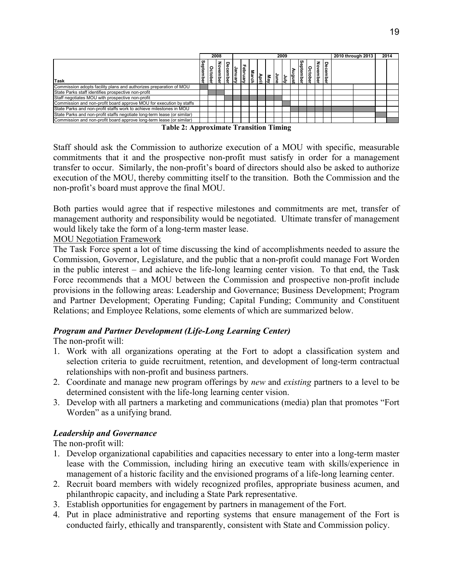|                                                                          |            |        | 2008<br>2009 |   |        |            |                       |       |      |      |   | 2010 through 2013 |             | 2014   |                 |                       |  |  |  |
|--------------------------------------------------------------------------|------------|--------|--------------|---|--------|------------|-----------------------|-------|------|------|---|-------------------|-------------|--------|-----------------|-----------------------|--|--|--|
| <b>Task</b>                                                              | Sept<br>ទី | o<br>ă |              | Ě | ē      | ರ<br>Cuan. | larch                 | April | ∣៖   | bmLe | ξ | lang              | g<br>iember | ۰<br>Ф | z<br>٥<br>ember | o<br>Ф<br>Φ<br>ᇴ<br>≘ |  |  |  |
| Commission adopts facility plans and authorizes preparation of MOU       |            |        |              |   |        |            |                       |       |      |      |   |                   |             |        |                 |                       |  |  |  |
| State Parks staff identifies prospective non-profit                      |            |        |              |   |        |            |                       |       |      |      |   |                   |             |        |                 |                       |  |  |  |
| Staff negotiates MOU with prospective non-profit                         |            |        |              |   |        |            |                       |       |      |      |   |                   |             |        |                 |                       |  |  |  |
| Commission and non-profit board approve MOU for execution by staffs      |            |        |              |   |        |            |                       |       |      |      |   |                   |             |        |                 |                       |  |  |  |
| State Parks and non-profit staffs work to achieve milestones in MOU      |            |        |              |   |        |            |                       |       |      |      |   |                   |             |        |                 |                       |  |  |  |
| State Parks and non-profit staffs negotiate long-term lease (or similar) |            |        |              |   |        |            |                       |       |      |      |   |                   |             |        |                 |                       |  |  |  |
| Commission and non-profit board approve long-term lease (or similar)     |            |        |              |   |        |            |                       |       |      |      |   |                   |             |        |                 |                       |  |  |  |
| .                                                                        |            |        |              |   | $\sim$ |            | $\bullet$ . $\bullet$ |       | $-1$ |      |   |                   |             |        |                 |                       |  |  |  |

|  | <b>Table 2: Approximate Transition Timing</b> |  |
|--|-----------------------------------------------|--|
|  |                                               |  |

Staff should ask the Commission to authorize execution of a MOU with specific, measurable commitments that it and the prospective non-profit must satisfy in order for a management transfer to occur. Similarly, the non-profit's board of directors should also be asked to authorize execution of the MOU, thereby committing itself to the transition. Both the Commission and the non-profit's board must approve the final MOU.

Both parties would agree that if respective milestones and commitments are met, transfer of management authority and responsibility would be negotiated. Ultimate transfer of management would likely take the form of a long-term master lease.

# MOU Negotiation Framework

The Task Force spent a lot of time discussing the kind of accomplishments needed to assure the Commission, Governor, Legislature, and the public that a non-profit could manage Fort Worden in the public interest – and achieve the life-long learning center vision. To that end, the Task Force recommends that a MOU between the Commission and prospective non-profit include provisions in the following areas: Leadership and Governance; Business Development; Program and Partner Development; Operating Funding; Capital Funding; Community and Constituent Relations; and Employee Relations, some elements of which are summarized below.

# *Program and Partner Development (Life-Long Learning Center)*

The non-profit will:

- 1. Work with all organizations operating at the Fort to adopt a classification system and selection criteria to guide recruitment, retention, and development of long-term contractual relationships with non-profit and business partners.
- 2. Coordinate and manage new program offerings by *new* and *existing* partners to a level to be determined consistent with the life-long learning center vision.
- 3. Develop with all partners a marketing and communications (media) plan that promotes "Fort Worden" as a unifying brand.

# *Leadership and Governance*

The non-profit will:

- 1. Develop organizational capabilities and capacities necessary to enter into a long-term master lease with the Commission, including hiring an executive team with skills/experience in management of a historic facility and the envisioned programs of a life-long learning center.
- 2. Recruit board members with widely recognized profiles, appropriate business acumen, and philanthropic capacity, and including a State Park representative.
- 3. Establish opportunities for engagement by partners in management of the Fort.
- 4. Put in place administrative and reporting systems that ensure management of the Fort is conducted fairly, ethically and transparently, consistent with State and Commission policy.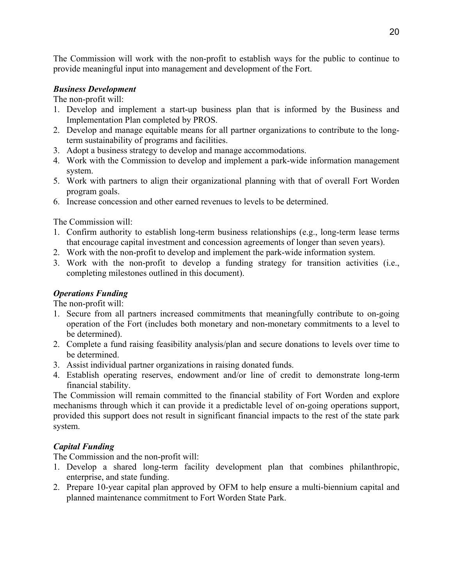The Commission will work with the non-profit to establish ways for the public to continue to provide meaningful input into management and development of the Fort.

# *Business Development*

The non-profit will:

- 1. Develop and implement a start-up business plan that is informed by the Business and Implementation Plan completed by PROS.
- 2. Develop and manage equitable means for all partner organizations to contribute to the longterm sustainability of programs and facilities.
- 3. Adopt a business strategy to develop and manage accommodations.
- 4. Work with the Commission to develop and implement a park-wide information management system.
- 5. Work with partners to align their organizational planning with that of overall Fort Worden program goals.
- 6. Increase concession and other earned revenues to levels to be determined.

The Commission will:

- 1. Confirm authority to establish long-term business relationships (e.g., long-term lease terms that encourage capital investment and concession agreements of longer than seven years).
- 2. Work with the non-profit to develop and implement the park-wide information system.
- 3. Work with the non-profit to develop a funding strategy for transition activities (i.e., completing milestones outlined in this document).

# *Operations Funding*

The non-profit will:

- 1. Secure from all partners increased commitments that meaningfully contribute to on-going operation of the Fort (includes both monetary and non-monetary commitments to a level to be determined).
- 2. Complete a fund raising feasibility analysis/plan and secure donations to levels over time to be determined.
- 3. Assist individual partner organizations in raising donated funds.
- 4. Establish operating reserves, endowment and/or line of credit to demonstrate long-term financial stability.

The Commission will remain committed to the financial stability of Fort Worden and explore mechanisms through which it can provide it a predictable level of on-going operations support, provided this support does not result in significant financial impacts to the rest of the state park system.

# *Capital Funding*

The Commission and the non-profit will:

- 1. Develop a shared long-term facility development plan that combines philanthropic, enterprise, and state funding.
- 2. Prepare 10-year capital plan approved by OFM to help ensure a multi-biennium capital and planned maintenance commitment to Fort Worden State Park.